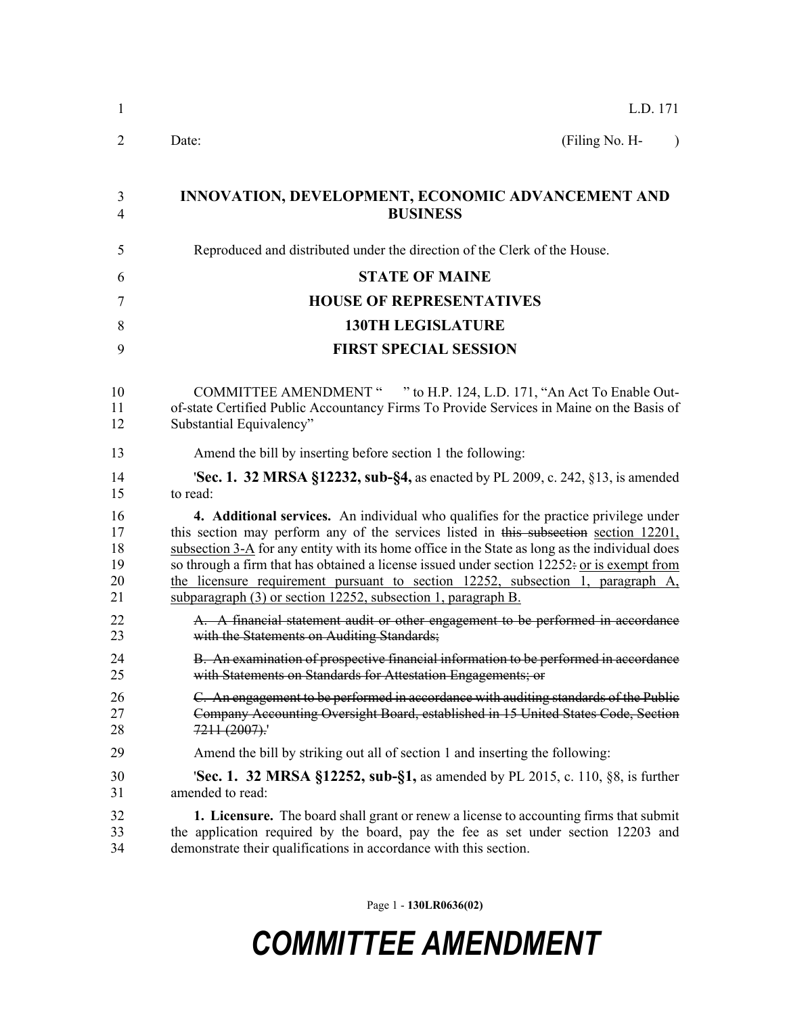| 1              | L.D. 171                                                                                       |
|----------------|------------------------------------------------------------------------------------------------|
| $\overline{2}$ | (Filing No. H-<br>Date:<br>$\lambda$                                                           |
| 3              | <b>INNOVATION, DEVELOPMENT, ECONOMIC ADVANCEMENT AND</b>                                       |
| $\overline{4}$ | <b>BUSINESS</b>                                                                                |
| 5              | Reproduced and distributed under the direction of the Clerk of the House.                      |
| 6              | <b>STATE OF MAINE</b>                                                                          |
| 7              | <b>HOUSE OF REPRESENTATIVES</b>                                                                |
| 8              | <b>130TH LEGISLATURE</b>                                                                       |
| 9              | <b>FIRST SPECIAL SESSION</b>                                                                   |
| 10             | COMMITTEE AMENDMENT " " to H.P. 124, L.D. 171, "An Act To Enable Out-                          |
| 11             | of-state Certified Public Accountancy Firms To Provide Services in Maine on the Basis of       |
| 12             | Substantial Equivalency"                                                                       |
| 13             | Amend the bill by inserting before section 1 the following:                                    |
| 14             | <b>Sec. 1. 32 MRSA §12232, sub-§4, as enacted by PL 2009, c. 242, §13, is amended</b>          |
| 15             | to read:                                                                                       |
| 16             | 4. Additional services. An individual who qualifies for the practice privilege under           |
| 17             | this section may perform any of the services listed in this subsection section 12201,          |
| 18             | subsection 3-A for any entity with its home office in the State as long as the individual does |
| 19             | so through a firm that has obtained a license issued under section 12252: or is exempt from    |
| 20             | the licensure requirement pursuant to section 12252, subsection 1, paragraph A,                |
| 21             | subparagraph (3) or section 12252, subsection 1, paragraph B.                                  |
| 22             | A. A financial statement audit or other engagement to be performed in accordance               |
| 23             | with the Statements on Auditing Standards;                                                     |
| 24             | B. An examination of prospective financial information to be performed in accordance           |
| 25             | with Statements on Standards for Attestation Engagements; or                                   |
| 26             | C. An engagement to be performed in accordance with auditing standards of the Public           |
| 27             | Company Accounting Oversight Board, established in 15 United States Code, Section              |
| 28             | $7211 (2007)$ .                                                                                |
| 29             | Amend the bill by striking out all of section 1 and inserting the following:                   |
| 30             | <b>Sec. 1. 32 MRSA §12252, sub-§1,</b> as amended by PL 2015, c. 110, §8, is further           |
| 31             | amended to read:                                                                               |
| 32             | <b>1. Licensure.</b> The board shall grant or renew a license to accounting firms that submit  |
| 33             | the application required by the board, pay the fee as set under section 12203 and              |
| 34             | demonstrate their qualifications in accordance with this section.                              |

Page 1 - **130LR0636(02)**

## *COMMITTEE AMENDMENT*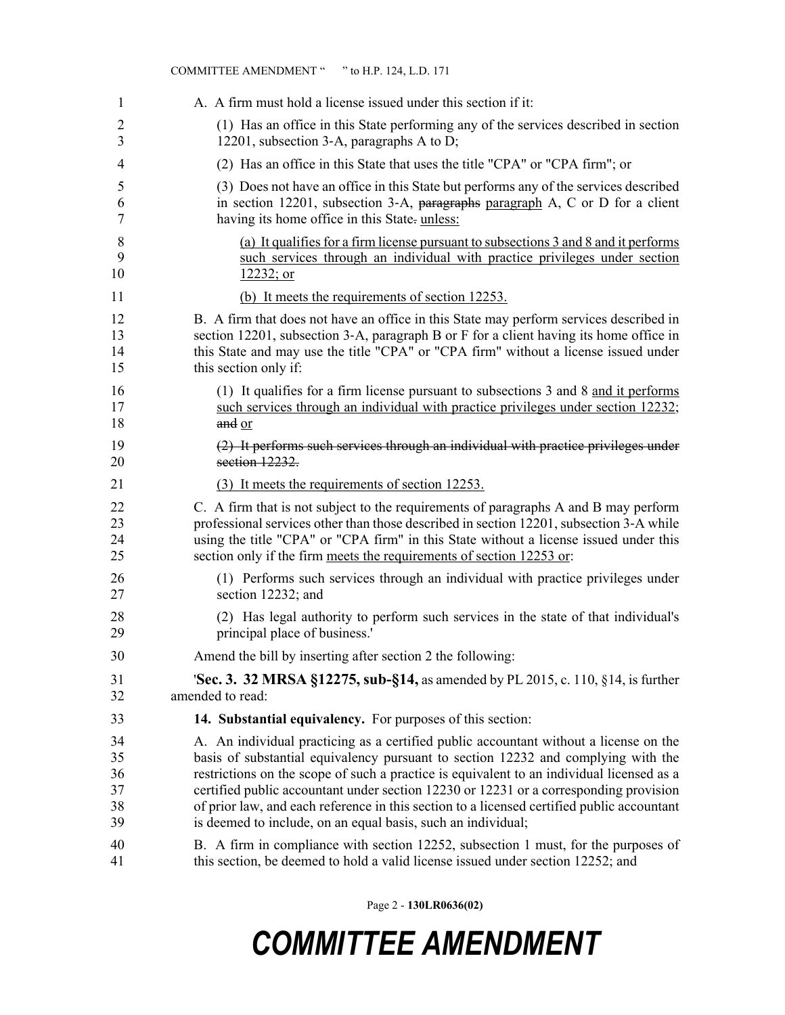|                | COMMITTEE AMENDMENT " " to H.P. 124, L.D. 171                                              |
|----------------|--------------------------------------------------------------------------------------------|
| 1              | A. A firm must hold a license issued under this section if it:                             |
| $\overline{2}$ | (1) Has an office in this State performing any of the services described in section        |
| $\overline{3}$ | 12201, subsection 3-A, paragraphs A to D;                                                  |
| $\overline{4}$ | (2) Has an office in this State that uses the title "CPA" or "CPA firm"; or                |
| 5              | (3) Does not have an office in this State but performs any of the services described       |
| 6              | in section 12201, subsection 3-A, paragraphs paragraph A, C or D for a client              |
| $\tau$         | having its home office in this State- unless:                                              |
| 8              | (a) It qualifies for a firm license pursuant to subsections 3 and 8 and it performs        |
| 9              | such services through an individual with practice privileges under section                 |
| 10             | 12232; or                                                                                  |
| 11             | (b) It meets the requirements of section 12253.                                            |
| 12             | B. A firm that does not have an office in this State may perform services described in     |
| 13             | section 12201, subsection 3-A, paragraph B or F for a client having its home office in     |
| 14             | this State and may use the title "CPA" or "CPA firm" without a license issued under        |
| 15             | this section only if:                                                                      |
| 16             | (1) It qualifies for a firm license pursuant to subsections 3 and 8 and it performs        |
| 17             | such services through an individual with practice privileges under section 12232;          |
| 18             | and or                                                                                     |
| 19             | (2) It performs such services through an individual with practice privileges under         |
| 20             | section 12232.                                                                             |
| 21             | (3) It meets the requirements of section 12253.                                            |
| 22             | C. A firm that is not subject to the requirements of paragraphs A and B may perform        |
| 23             | professional services other than those described in section 12201, subsection 3-A while    |
| 24             | using the title "CPA" or "CPA firm" in this State without a license issued under this      |
| 25             | section only if the firm meets the requirements of section 12253 or:                       |
| 26             | (1) Performs such services through an individual with practice privileges under            |
| 27             | section 12232; and                                                                         |
| 28             | (2) Has legal authority to perform such services in the state of that individual's         |
| 29             | principal place of business.'                                                              |
| 30             | Amend the bill by inserting after section 2 the following:                                 |
| 31             | 'Sec. 3. 32 MRSA §12275, sub-§14, as amended by PL 2015, c. 110, §14, is further           |
| 32             | amended to read:                                                                           |
| 33             | <b>14. Substantial equivalency.</b> For purposes of this section:                          |
| 34             | A. An individual practicing as a certified public accountant without a license on the      |
| 35             | basis of substantial equivalency pursuant to section 12232 and complying with the          |
| 36             | restrictions on the scope of such a practice is equivalent to an individual licensed as a  |
| 37             | certified public accountant under section 12230 or 12231 or a corresponding provision      |
| 38             | of prior law, and each reference in this section to a licensed certified public accountant |
| 39             | is deemed to include, on an equal basis, such an individual;                               |
| 40             | B. A firm in compliance with section 12252, subsection 1 must, for the purposes of         |
| 41             | this section, be deemed to hold a valid license issued under section 12252; and            |

Page 2 - **130LR0636(02)**

## *COMMITTEE AMENDMENT*